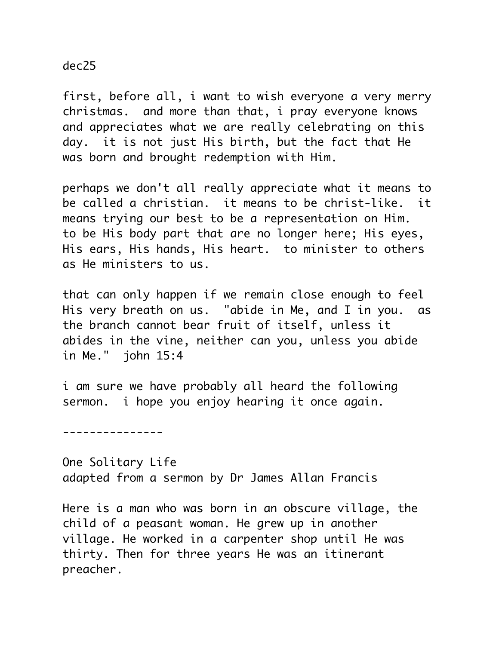dec25

first, before all, i want to wish everyone a very merry christmas. and more than that, i pray everyone knows and appreciates what we are really celebrating on this day. it is not just His birth, but the fact that He was born and brought redemption with Him.

perhaps we don't all really appreciate what it means to be called a christian. it means to be christ-like. it means trying our best to be a representation on Him. to be His body part that are no longer here; His eyes, His ears, His hands, His heart. to minister to others as He ministers to us.

that can only happen if we remain close enough to feel His very breath on us. "abide in Me, and I in you. as the branch cannot bear fruit of itself, unless it abides in the vine, neither can you, unless you abide in Me." john 15:4

i am sure we have probably all heard the following sermon. i hope you enjoy hearing it once again.

---------------

One Solitary Life adapted from a sermon by Dr James Allan Francis

Here is a man who was born in an obscure village, the child of a peasant woman. He grew up in another village. He worked in a carpenter shop until He was thirty. Then for three years He was an itinerant preacher.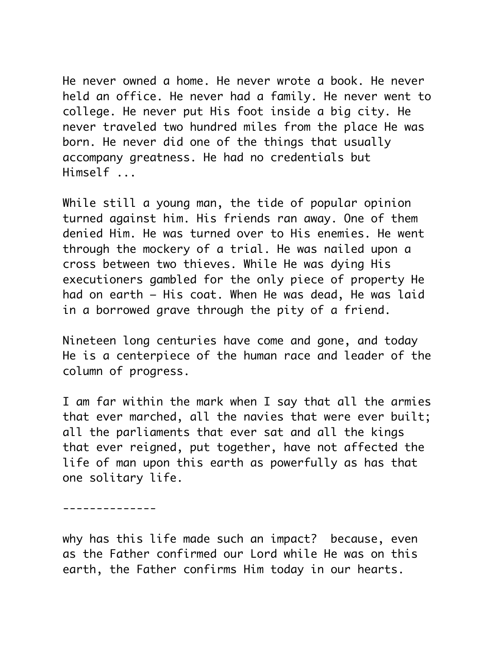He never owned a home. He never wrote a book. He never held an office. He never had a family. He never went to college. He never put His foot inside a big city. He never traveled two hundred miles from the place He was born. He never did one of the things that usually accompany greatness. He had no credentials but Himself ...

While still a young man, the tide of popular opinion turned against him. His friends ran away. One of them denied Him. He was turned over to His enemies. He went through the mockery of a trial. He was nailed upon a cross between two thieves. While He was dying His executioners gambled for the only piece of property He had on earth – His coat. When He was dead, He was laid in a borrowed grave through the pity of a friend.

Nineteen long centuries have come and gone, and today He is a centerpiece of the human race and leader of the column of progress.

I am far within the mark when I say that all the armies that ever marched, all the navies that were ever built; all the parliaments that ever sat and all the kings that ever reigned, put together, have not affected the life of man upon this earth as powerfully as has that one solitary life.

--------------

why has this life made such an impact? because, even as the Father confirmed our Lord while He was on this earth, the Father confirms Him today in our hearts.